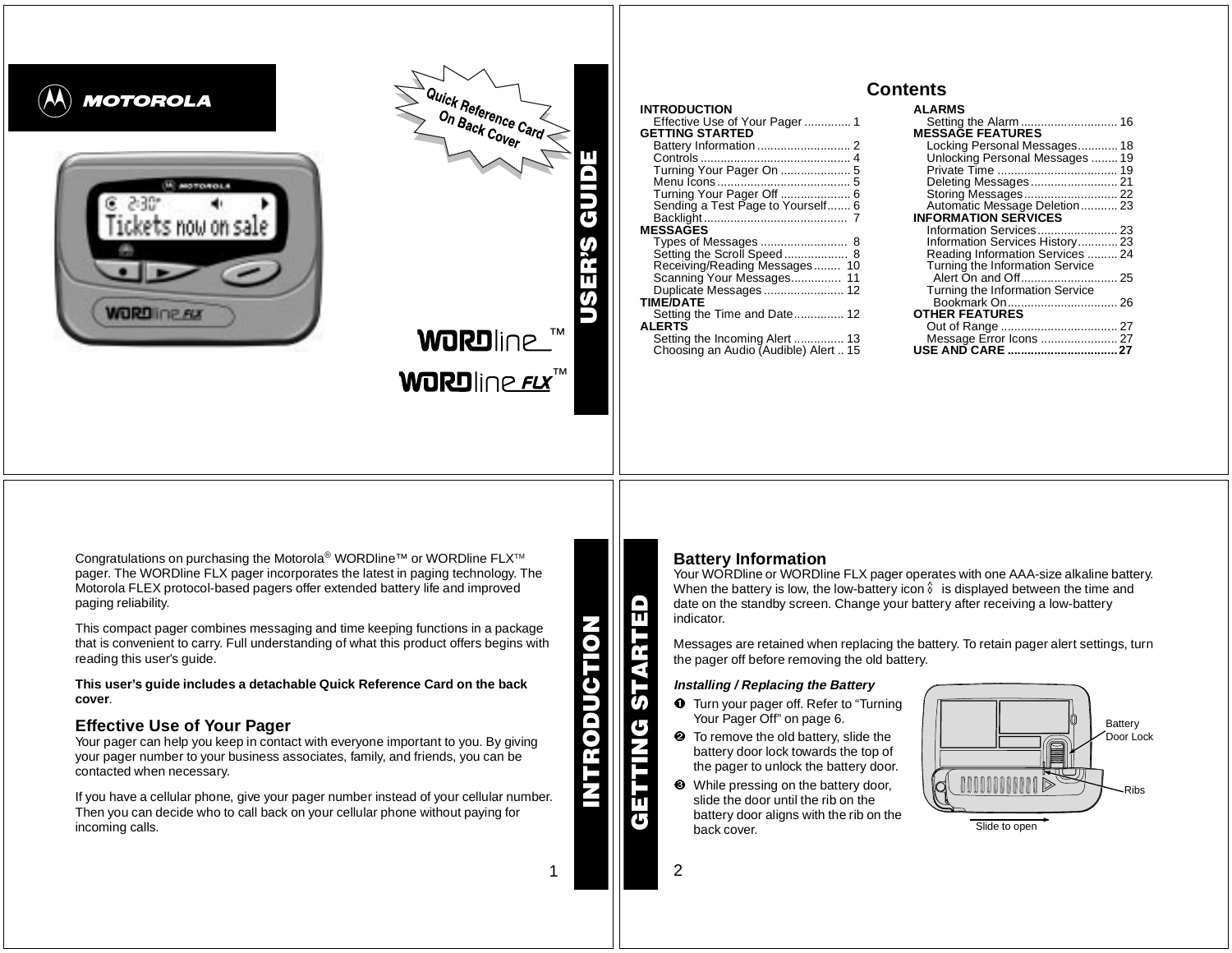

Congratulations on purchasing the Motorola<sup>®</sup> WORDline™ or WORDline FLX<sup>™</sup> pager. The WORDline FLX pager incorporates the latest in paging technology. The Motorola FLEX protocol-based pagers offer extended battery life and improved paging reliability.

This compact pager combines messaging and time keeping functions in <sup>a</sup> package that is convenient to carry. Full understanding of what this product offers begins with reading this user's guide.

This user's quide includes a detachable Quick Reference Card on the back **cover**.

# **Effective Use of Your Pager**

Your pager can help you keep in contact with everyone important to you. By giving your pager number to your business associates, family, and friends, you can be contacted when necessary.

If you have <sup>a</sup> cellular phone, give your pager number instead of your cellular number. Then you can decide who to call back on your cellular phone without paying for incoming calls.

**INTRODUCTION**

**INTRODUCTION** 

1

# **Battery Information**

Your WORDline or WORDline FLX pager operates with one AAA-size alkaline battery. When the battery is low, the low-battery icon  $\hat{v}$  is displayed between the time and date on the standby screen. Change your battery after receiving <sup>a</sup> low-battery indicator.

Messages are retained when replacing the battery. To retain pager alert settings, turn the pager off before removing the old battery.

### **Installing / Replacing the Battery**

- **O** Turn your pager off. Refer to "Turning Your Pager Off" on page 6.
- **2** To remove the old battery, slide the battery door lock towards the top of the pager to unlock the battery door.
- ❸ While pressing on the battery door, slide the door until the rib on thebattery door aligns with the rib on the back cover.



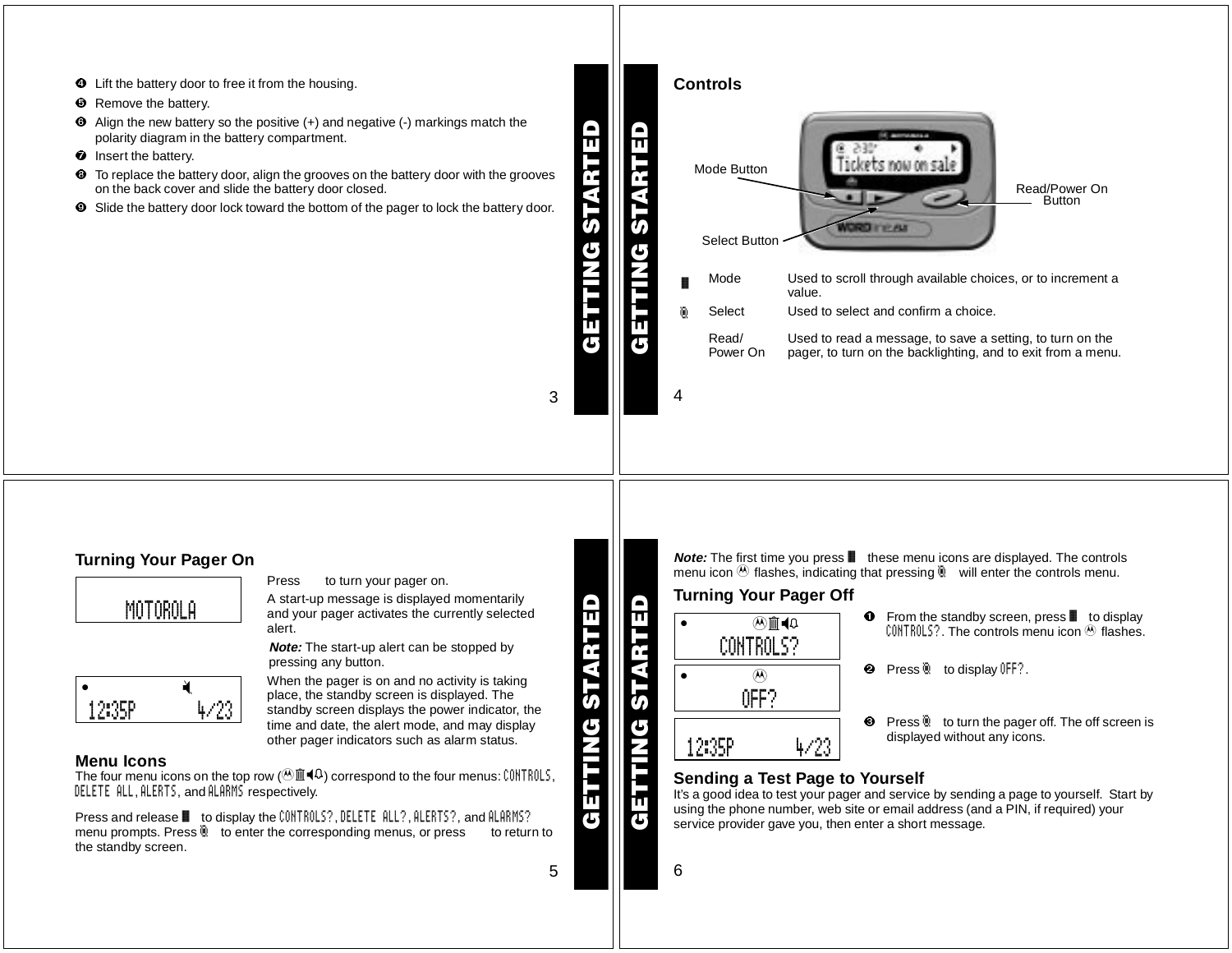

5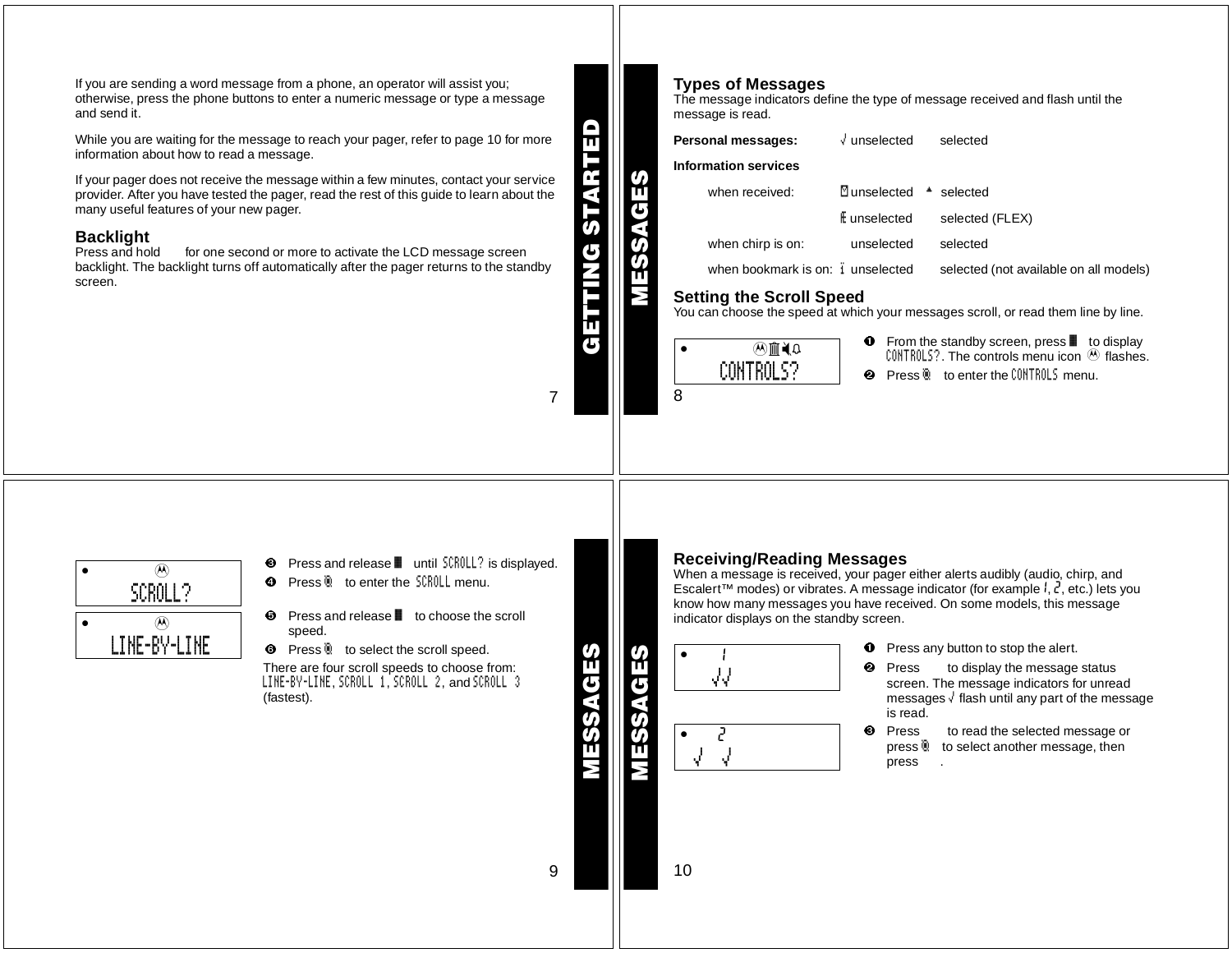If you are sending <sup>a</sup> word message from <sup>a</sup> phone, an operator will assist you; otherwise, press the phone buttons to enter <sup>a</sup> numeric message or type <sup>a</sup> message and send it.

While you are waiting for the message to reach your pager, refer to page 10 for more information about how to read <sup>a</sup> message.

If your pager does not receive the message within <sup>a</sup> few minutes, contact your service provider. After you have tested the pager, read the rest of this guide to learn about the many useful features of your new pager.

### **Backlight**

Press and hold for one second or more to activate the LCD message screen backlight. The backlight turns off automatically after the pager returns to the standby screen.

 $\mathbf{\Omega}$ **GETTING STARTED STAR TING** 

**MESSAGES**

7

### **Types of Messages**

The message indicators define the type of message received and flash until the message is read.

| Personal messages:                                                                                                    | $\sqrt{}$ unselected     | selected                                                    |  |
|-----------------------------------------------------------------------------------------------------------------------|--------------------------|-------------------------------------------------------------|--|
| <b>Information services</b>                                                                                           |                          |                                                             |  |
| when received:                                                                                                        | $\mathbb {Z}$ unselected | * selected                                                  |  |
|                                                                                                                       | E unselected             | selected (FLEX)                                             |  |
| when chirp is on:                                                                                                     | unselected               | selected                                                    |  |
| when bookmark is on: i unselected                                                                                     |                          | selected (not available on all models)                      |  |
| <b>Setting the Scroll Speed</b><br>You can choose the speed at which your messages scroll, or read them line by line. |                          |                                                             |  |
| $\sim$ $\sim$ $\sim$                                                                                                  | Œ                        | From the standby screen, press $\blacksquare$<br>to display |  |

| ֎⊯֎       |  |
|-----------|--|
| CONTROLS? |  |
|           |  |

8

- From the standby screen, press  $\blacksquare$  to display <code>CONTROLS?</code> . The controls menu icon  $\, \circledast \,$  flashes.
- **2** Press **b** to enter the CONTROLS menu.



- ❸ Press and release ■ until SCROLL? is displayed.
- **O** Press © to enter the SCROLL menu.
- $\Theta$  Press and release  $\blacksquare$  to choose the scroll speed.
- **O** Press **b** to select the scroll speed.

There are four scroll speeds to choose from: LINE-BY-LINE, SCROLL 1, SCROLL 2, and SCROLL 3 (fastest).

**Receiving/Reading Messages**

When <sup>a</sup> message is received, your pager either alerts audibly (audio, chirp, and Escalert™ modes) or vibrates. A message indicator (for example  $l, l$ , etc.) lets you know how many messages you have received. On some models, this message indicator displays on the standby screen.



- $\bullet$ Press any button to stop the alert.
- $\boldsymbol{e}$  Press to display the message status screen. The message indicators for unread messages  $\sqrt{ }$  flash until any part of the message is read.
	- Press to read the selected message or press  $\ddot{a}$  to select another message, then press .

**MESSAGES**

9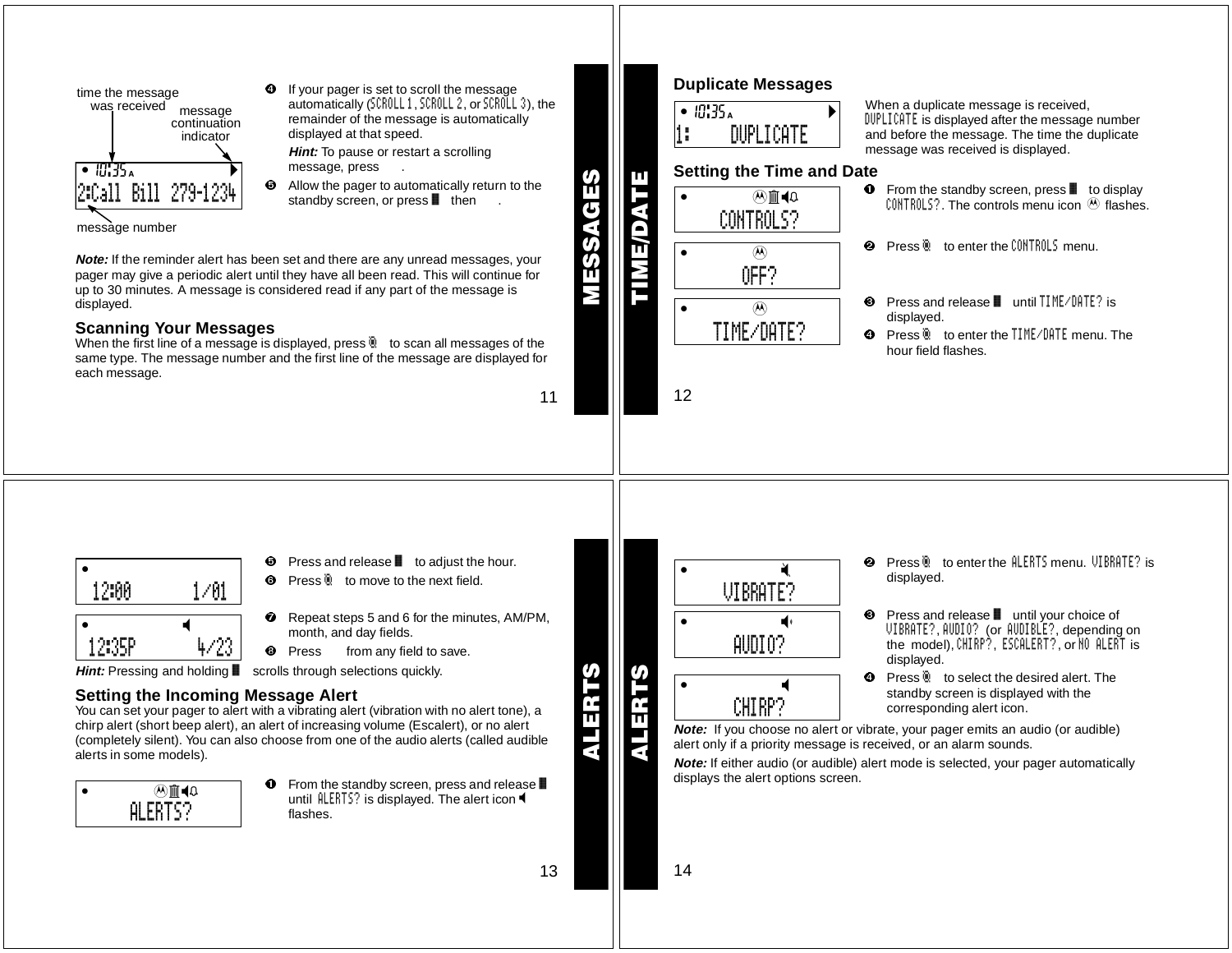

message number

**Note:** If the reminder alert has been set and there are any unread messages, your pager may give <sup>a</sup> periodic alert until they have all been read. This will continue for up to 30 minutes. A message is considered read if any part of the message is displayed.

负.

# **Scanning Your Messages**

When the first line of a message is displayed, press  $\mathbb R$  to scan all messages of the same type. The message number and the first line of the message are displayed for each message.

11

13

**ALERTS**

ALER

**MESSAGES**

 $\bf \overline{h}$ 

SSE<br>SS

<u>(၇</u>  $\overline{\mathbf{t}}$ 



### When <sup>a</sup> duplicate message is received, DUPLICATE is displayed after the message number and before the message. The time the duplicate message was received is displayed.

- $\bullet$  From the standby screen, press  $\blacksquare$  to display <code>CONTROLS?</code> . The controls menu icon  $\, \circledast \,$  flashes.
- **2** Press **b** to enter the CONTROLS menu.
- Press and release until TIME/DATE? is
- **O** Press **b** to enter the TIME/DATE menu. The hour field flashes.



Θ Press and release  $\blacksquare$  to adjust the hour.

**O** If your pager is set to scroll the message

**Hint:** To pause or restart <sup>a</sup> scrolling

displayed at that speed.

message, press .

automatically (SCROLL 1, SCROLL 2, or SCROLL 3), the remainder of the message is automatically

 Allow the pager to automatically return to the standby screen, or press  $\blacksquare$  then .

- **O** Press **b** to move to the next field.
- $\boldsymbol{a}$  Repeat steps 5 and 6 for the minutes, AM/PM, month, and day fields.
- **O** Press from any field to save.

**Hint:** Pressing and holding ■ scrolls through selections quickly.

# **Setting the Incoming Message Alert**

You can set your pager to alert with a vibrating alert (vibration with no alert tone), a chirp alert (short beep alert), an alert of increasing volume (Escalert), or no alert (completely silent). You can also choose from one of the audio alerts (called audible alerts in some models).

| $\mathbb{Q} \blacktriangleright \mathbb{P}$ |
|---------------------------------------------|
| .<br>FK I<br>÷                              |

 $\bullet$  From the standby screen, press and release until  $ALERTS?$  is displayed. The alert icon flashes.

 $\bullet$  and  $\bullet$  and  $\bullet$ **ALERTS**s00:00cfwie=yto**ALI** 

sologie – versij versij versij versij versij versij versij versij versij versij versij versij versij versij ve<br>Sologie – versij versij versij versij versij versij versij versij versij versij versij versij versij versij ve VIBRATE?

AUDIO?

CHIRP?

- $\boldsymbol{\omega}$  Press ° to enter the ALERTS menu. VIBRATE? is displayed.
- $\bullet$ Press and release ■ until your choice of VIBRATE?, AUDIO? (or AUDIBLE?, depending on the model), CHIRP?, ESCALERT?, or NO ALERT is displayed.
- $\bullet$ Press  $\ddot{a}$  to select the desired alert. The standby screen is displayed with the corresponding alert icon.

**Note:** If you choose no alert or vibrate, your pager emits an audio (or audible) alert only if <sup>a</sup> priority message is received, or an alarm sounds.

**Note:** If either audio (or audible) alert mode is selected, your pager automatically displays the alert options screen.

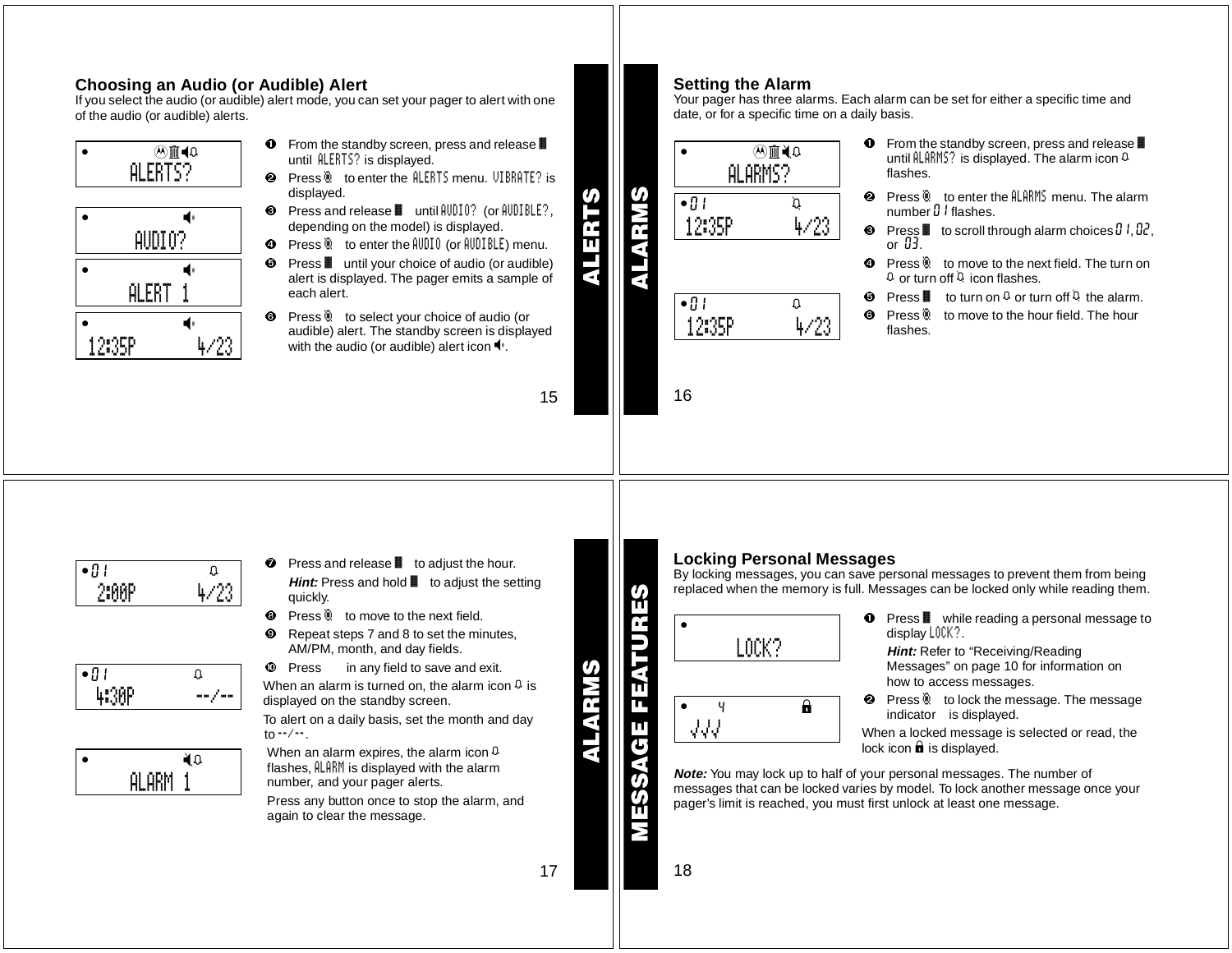# **Choosing an Audio (or Audible) Alert**

If you select the audio (or audible) alert mode, you can set your pager to alert with one of the audio (or audible) alerts.

| IΩ  |
|-----|
| . . |
|     |

| AUDIO?       |  |  |
|--------------|--|--|
|              |  |  |
| <b>ALERT</b> |  |  |
|              |  |  |
|              |  |  |

- $\bullet$  From the standby screen, press and release until ALERTS? is displayed.
- **❷** Press ® to enter the <code>ALERTS</code> menu. <code>VIBRATE?</code> is displayed.
- <sup>●</sup> Press and release until AUDIO? (or AUDIBLE?, depending on the model) is displayed.
- Press ° to enter the AUDIO (or AUDIBLE) menu.
- $\Theta$  Press  $\blacksquare$  until your choice of audio (or audible) alert is displayed. The pager emits <sup>a</sup> sample of each alert.
- **O** Press **b** to select your choice of audio (or audible) alert. The standby screen is displayed with the audio (or audible) alert icon  $\P$ .

15

**ALERTS**

 $\overline{\mathbf{b}}$ ŕ. π ₹

# **Setting the Alarm**

Your pager has three alarms. Each alarm can be set for either <sup>a</sup> specific time and date, or for <sup>a</sup> specific time on <sup>a</sup> daily basis.

| ΩI     | ARMS? |
|--------|-------|
| •ប!    | Ć     |
| .2:35P |       |
|        |       |
| •8∣    | Ω     |

16

- $\bullet$  From the standby screen, press and release until  $\mathtt{ALARMS?}$  is displayed. The alarm icon  $\mathtt{Q}$ flashes.
- $\boldsymbol{e}$ **Press © to enter the ALARMS menu. The alarm** number  ${\mathfrak d}$   ${\mathfrak l}$  flashes.
- $\boldsymbol{\Theta}$ Press  $\blacksquare$  to scroll through alarm choices  $\mathfrak{g}$  l,  $\mathfrak{g}$ . or 03.
- **O** Press **b** to move to the next field. The turn on  $\Omega$  or turn off  $\Omega$  icon flashes.
- $\Theta$  Press  $\blacksquare$  to turn on  $\Omega$  or turn off  $\Omega$  the alarm.
- 0 Press  $\ddot{C}$  to move to the hour field. The hour flashes.

- $\bullet$ 011:00 12:00P 4/23
- $\bullet$  0  $\Box$ 1 0  $\Box$ 14:30P --/--



- $\bullet$  Press and release  $\bullet$  to adjust the hour. **Hint:** Press and hold **i** to adjust the setting quickly.
- **<sup>3</sup>** Press **b** to move to the next field.
- ø Repeat steps 7 and 8 to set the minutes, AM/PM, month, and day fields.
- **10** Press in any field to save and exit.

When an alarm is turned on, the alarm icon  $\Omega$  is displayed on the standby screen.

To alert on <sup>a</sup> daily basis, set the month and day to --/--.

When an alarm expires, the alarm icon  $\Omega$ flashes, ALARM is displayed with the alarm number, and your pager alerts.

Press any button once to stop the alarm, and again to clear the message.

**MESSAGE FEATURES**

**ALARMS**

ARMS

17

# **Locking Personal Messages**

By locking messages, you can save personal messages to prevent them from being replaced when the memory is full. Messages can be locked only while reading them.



 $\bf o$ Press ■ while reading a personal message to display LOCK?.

**Hint:** Refer to "Receiving/Reading Messages" on page 10 for information on how to access messages.

 $\boldsymbol{\varrho}$ **Press in to lock the message. The message** indicator is displayed.

When <sup>a</sup> locked message is selected or read, the lock icon  $\hat{\mathbf{u}}$  is displayed.

**Note:** You may lock up to half of your personal messages. The number of messages that can be locked varies by model. To lock another message once your pager's limit is reached, you must first unlock at least one message.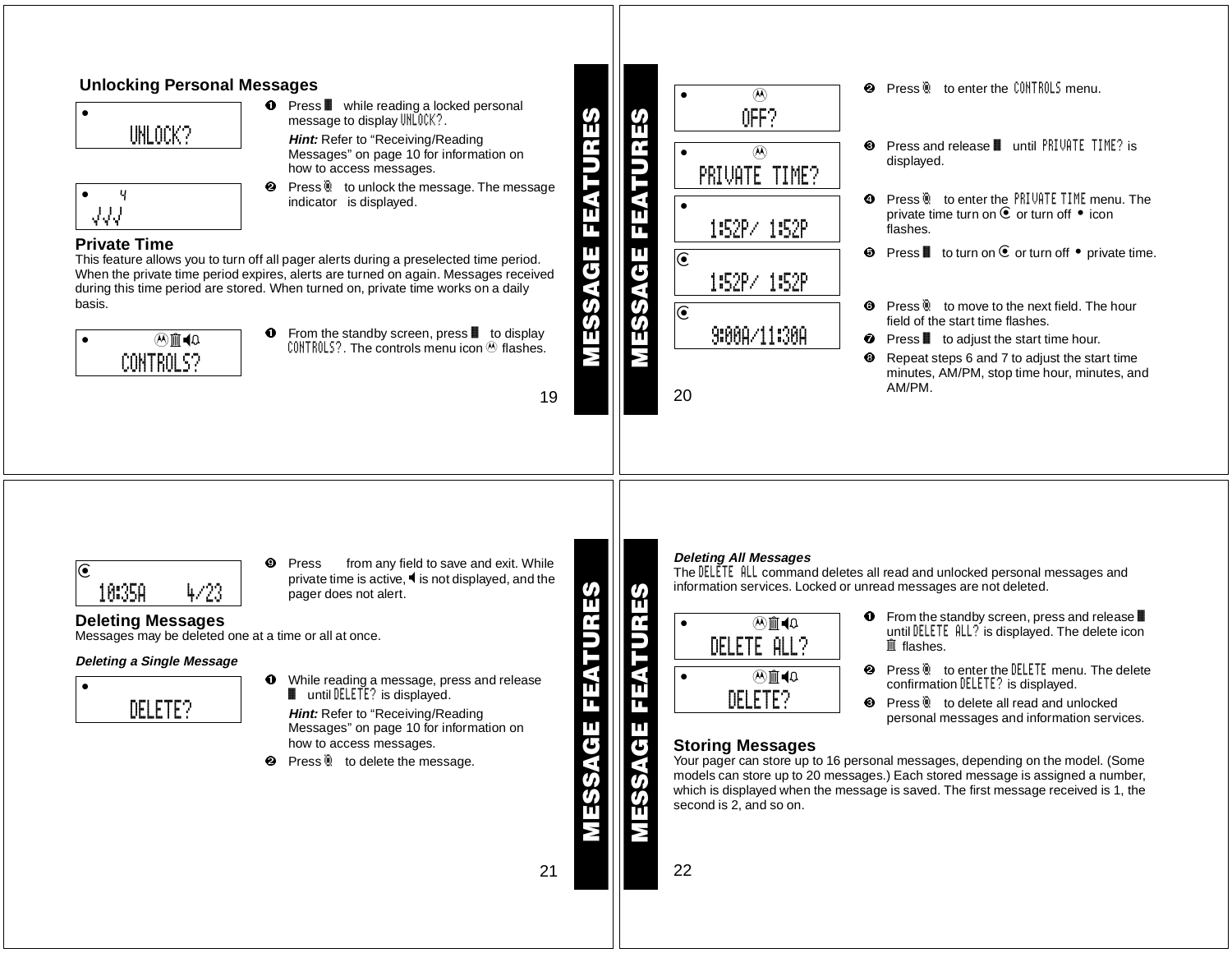### **Unlocking Personal Messages**  $\boldsymbol{e}$ **Press © to enter the CONTROLS menu.**  $\circledast$ **O** Press **i** while reading a locked personal  $\bullet$  and  $\bullet$  and  $\bullet$  and  $\bullet$ OFF?**MESSAGE FEATURES MESSAGE FEATURES** message to display UNLOCK?. UNLOCK?**Hint:** Refer to "Receiving/Reading  $\boldsymbol{e}$ Press and release ■ until PRIVATE TIME? is Messages" on page 10 for information on  $\bullet$  40:34  $\omega$ displayed. how to access messages. PRIVATE TIME? MESSAGE FEATI  $\boldsymbol{\omega}$ Press<sup>®</sup> to unlock the message. The message  $\bullet$  4 after  $\frac{1}{2}$ **O** Press **Q** to enter the PRIVATE TIME menu. The indicator is displayed.  $\bullet$  10:34afwiu $\sim$ 34afwiu $\sim$  $JJJ$ private time turn on  $\bullet$  or turn off  $\bullet$  icon ш 1:52P/ 1:52Pπ flashes.**Private Time** $\mathbf{\Theta}$  Press  $\mathbf{I}$  to turn on  $\mathbf{\widehat{e}}$  or turn off  $\bullet$  private time. Ш This feature allows you to turn off all pager alerts during <sup>a</sup> preselected time period.  $\bullet$  $\overline{\mathbf{G}}$ When the private time period expires, alerts are turned on again. Messages received 1:52P/ 1:52Pduring this time period are stored. When turned on, private time works on <sup>a</sup> daily basis.ESS Press  $\ddot{a}$  to move to the next field. The hour  $\bullet$  $\bullet$ field of the start time flashes. $\bf{o}$ From the standby screen, press  $\blacksquare$  to display 9:00A/11:30A $\widehat{A}$  in  $\widehat{A}$  $\bullet$  Press  $\bullet$  to adjust the start time hour. <code>CONTROLS?</code> . The controls menu icon  $\bm{\mathfrak{G}}$  flashes. CONTROLS?☺ Repeat steps 6 and 7 to adjust the start time minutes, AM/PM, stop time hour, minutes, and AM/PM.2019**Deleting All Messages** ø Press from any field to save and exit. While r01:00cfwiu=ytoThe DELETE ALL command deletes all read and unlocked personal messages and private time is active,  $\blacktriangleleft$  is not displayed, and the information services. Locked or unread messages are not deleted. 10:35A 4/23**MESSAGE FEATURES MESSAGE FEATURES**pager does not alert. ĭ١  $\bullet$  From the standby screen, press and release **Deleting Messages**  $\widehat{A}$  in  $\widehat{A}$ until DELETE ALL? is displayed. The delete icon Messages may be deleted one at <sup>a</sup> time or all at once. DELETE ALL?GE FEATU  $\widehat{ \mathbb{I} \hspace{-.1em} \mathbb{I}}$  flashes. **Deleting <sup>a</sup> Single Message 2** Press **b** to enter the **DELETE** menu. The delete Mm<br/><br>+0 **O** While reading a message, press and release confirmation DELETE? is displayed.  $\bullet$  and  $\bullet$  and  $\bullet$  and  $\bullet$ ш  $\blacksquare$  until  $\texttt{DELETE?}$  is displayed. DELETE?**8** Press **b** to delete all read and unlocked DELETE?**Hint:** Refer to "Receiving/Reading personal messages and information services. Messages" on page 10 for information on how to access messages. **Storing Messages** Your pager can store up to 16 personal messages, depending on the model. (Some  $\boldsymbol{e}$ Press<sup>®</sup> to delete the message. models can store up to 20 messages.) Each stored message is assigned <sup>a</sup> number, **995** which is displayed when the message is saved. The first message received is 1, the second is 2, and so on. 2221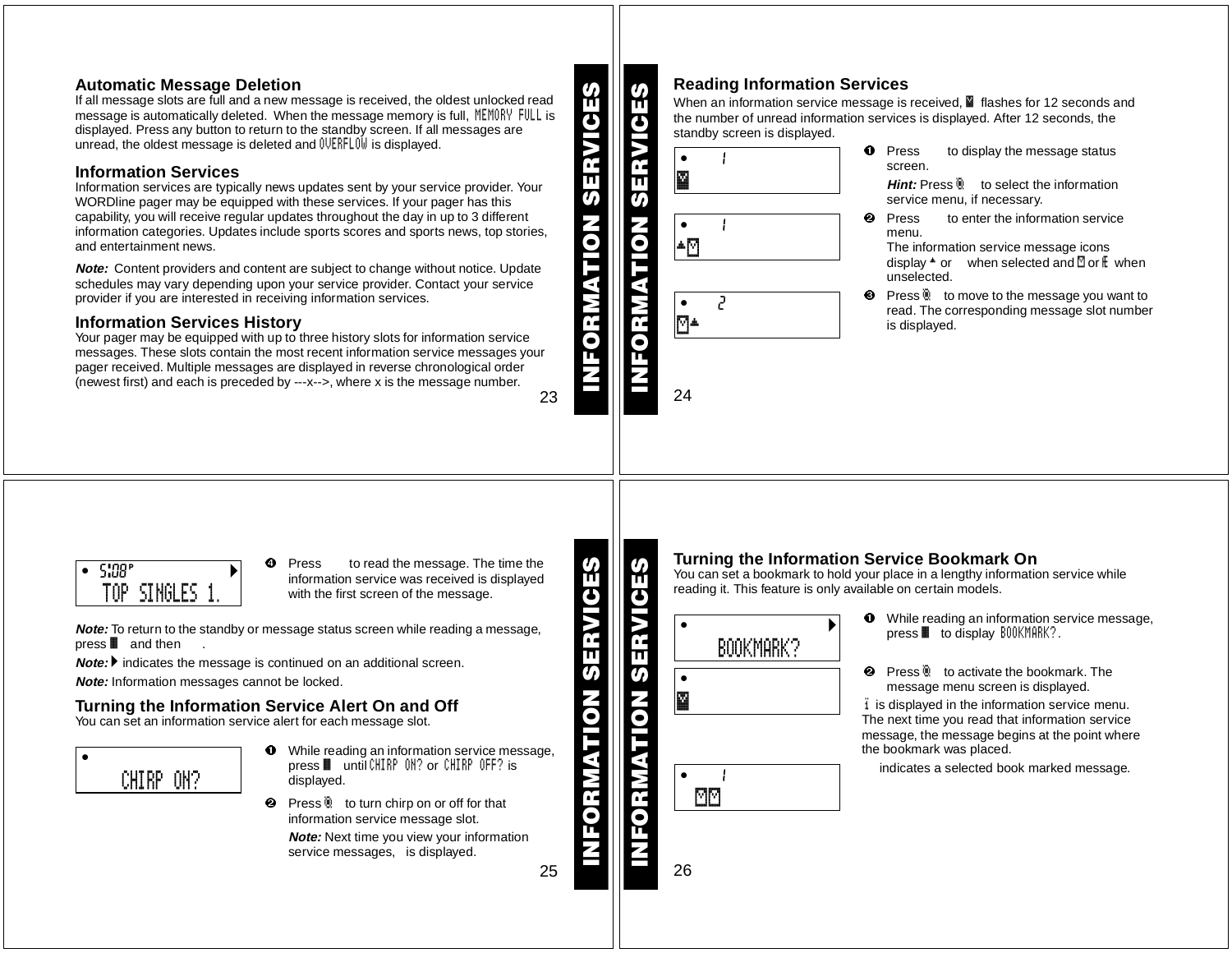# **Automatic Message Deletion**

If all message slots are full and <sup>a</sup> new message is received, the oldest unlocked read message is automatically deleted. When the message memory is full, MEMORY FULL is displayed. Press any button to return to the standby screen. If all messages are unread, the oldest message is deleted and  $\text{UERFL0W}$  is displayed.

# **Information Services**

Information services are typically news updates sent by your service provider. Your WORDline pager may be equipped with these services. If your pager has this capability, you will receive regular updates throughout the day in up to 3 different information categories. Updates include sports scores and sports news, top stories, and entertainment news.

**Note:** Content providers and content are subject to change without notice. Update schedules may vary depending upon your service provider. Contact your service provider if you are interested in receiving information services.

# **Information Services History**

23Your pager may be equipped with up to three history slots for information service messages. These slots contain the most recent information service messages your pager received. Multiple messages are displayed in reverse chronological order (newest first) and each is preceded by ---x-->, where <sup>x</sup> is the message number.

■ flashes for 12 seconds and the number of unread information services is displayed. After 12 seconds, the standby screen is displayed.



**O** Press to display the message status screen.

**Hint:** Press  $\ddot{e}$  to select the information service menu, if necessary.

 Press to enter the information service menu.

The information service message icons display ¥ or when selected and ® or Æ when unselected.

**8** Press<sup>®</sup> to move to the message you want to read. The corresponding message slot number is displayed.



Ø Press to read the message. The time the information service was received is displayed with the first screen of the message.

**Note:** To return to the standby or message status screen while reading <sup>a</sup> message, press ■ and then …

**Note: ▶** indicates the message is continued on an additional screen.

**Note:** Information messages cannot be locked.

# **Turning the Information Service Alert On and Off**

You can set an information service alert for each message slot.

 $\bullet$  for  $\mathbb{R}^n$ CHIRP ON?

- **O** While reading an information service message, press ƒ until CHIRP ON? or CHIRP OFF? is displayed.
- **2** Press **to turn chirp on or off for that** information service message slot. **Note:** Next time you view your information service messages, is displayed.

25

Turning the Information Service Bookmark On<br>
You can set a bookmark to hold your place in a lengthy information service while<br>
The reading it. This feature is only available on certain models.<br>
<br>
<br>
<br>
<br>
<br>
<br>
<br>
<br>
<br>
<br>
<br>
<br>
<br>  $\bullet$ oBOOKMARK? $\bullet$ Ü $\bullet$  001cm  $\bullet$ <sup>Ã</sup> ®®

**INFORMATION SERVICES**

- 0 While reading an information service message, press ƒ to display BOOKMARK?.
- $\boldsymbol{e}$ **2** Press **b** to activate the bookmark. The message menu screen is displayed.

 $\ddot{\textbf{i}}$  is displayed in the information service menu. The next time you read that information service message, the message begins at the point where the bookmark was placed.

indicates <sup>a</sup> selected book marked message.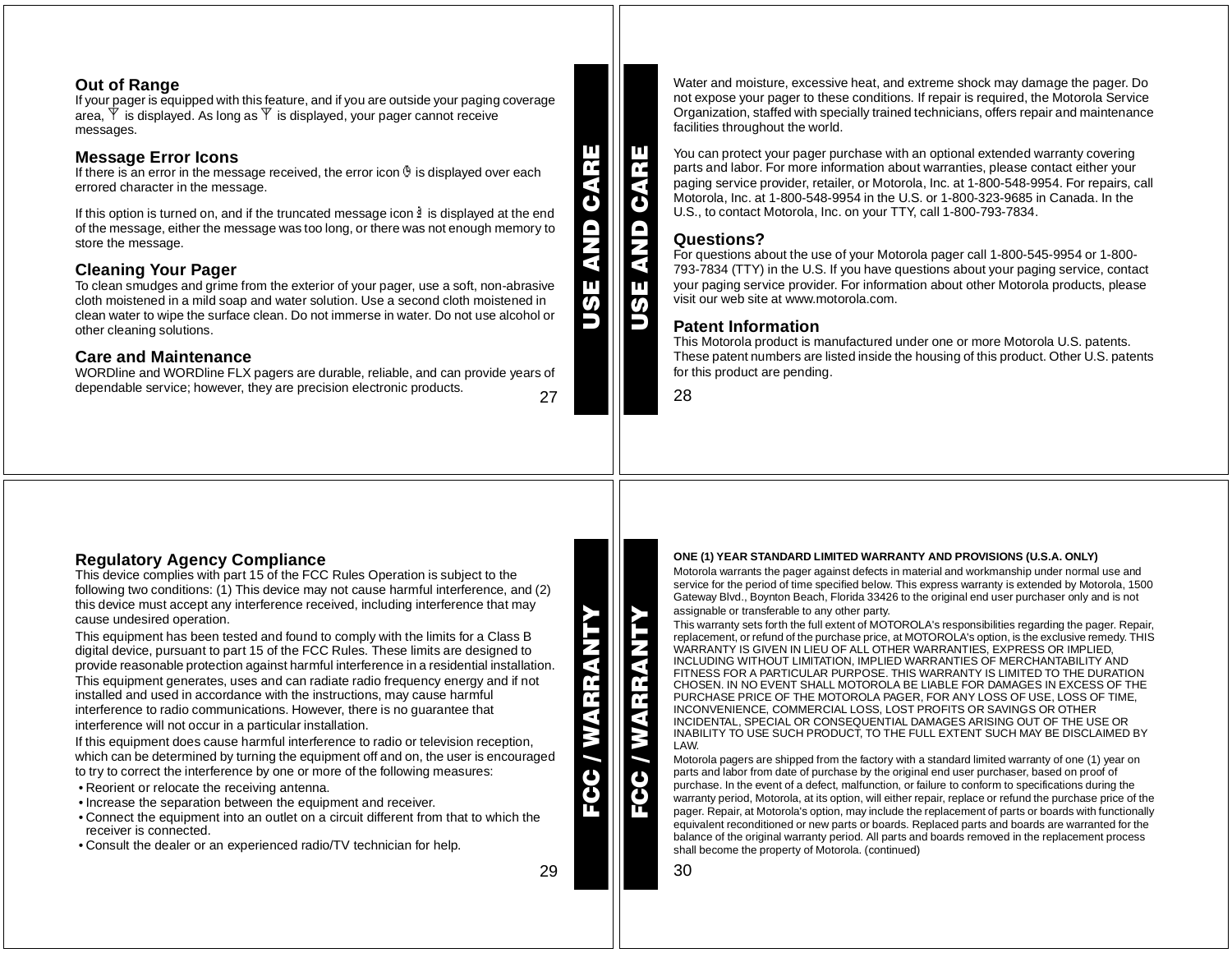### **Out of Range**

If your pager is equipped with this feature, and if you are outside your paging coverage area,  $\Psi$  is displayed. As long as  $\Psi$  is displayed, your pager cannot receive messages.

### **Message Error Icons**

If there is an error in the message received, the error icon  $\Phi$  is displayed over each errored character in the message.

If this option is turned on, and if the truncated message icon  $\frac{3}{2}$  is displayed at the end of the message, either the message was too long, or there was not enough memory to store the message.

### **Cleaning Your Pager**

To clean smudges and grime from the exterior of your pager, use <sup>a</sup> soft, non-abrasive cloth moistened in <sup>a</sup> mild soap and water solution. Use <sup>a</sup> second cloth moistened in clean water to wipe the surface clean. Do not immerse in water. Do not use alcohol or other cleaning solutions.

### **Care and Maintenance**

27 WORDline and WORDline FLX pagers are durable, reliable, and can provide years of dependable service; however, they are precision electronic products.

Water and moisture, excessive heat, and extreme shock may damage the pager. Do not expose your pager to these conditions. If repair is required, the Motorola Service Organization, staffed with specially trained technicians, offers repair and maintenance facilities throughout the world.

You can protect your pager purchase with an optional extended warranty covering parts and labor. For more information about warranties, please contact either your paging service provider, retailer, or Motorola, Inc. at 1-800-548-9954. For repairs, call Motorola, Inc. at 1-800-548-9954 in the U.S. or 1-800-323-9685 in Canada. In the U.S., to contact Motorola, Inc. on your TTY, call 1-800-793-7834.

### **Questions?**

 For questions about the use of your Motorola pager call 1-800-545-9954 or 1-800- 793-7834 (TTY) in the U.S. If you have questions about your paging service, contact your paging service provider. For information about other Motorola products, please visit our web site at www.motorola.com.

### **Patent Information**

This Motorola product is manufactured under one or more Motorola U.S. patents. These patent numbers are listed inside the housing of this product. Other U.S. patents for this product are pending.

28

**USE AND CARE**

USE AND

**BUVO** 

**USE AND CARE**

Ш

# **Regulatory Agency Compliance**

This device complies with part 15 of the FCC Rules Operation is subject to the following two conditions: (1) This device may not cause harmful interference, and (2) this device must accept any interference received, including interference that may cause undesired operation.

This equipment has been tested and found to comply with the limits for <sup>a</sup> Class B digital device, pursuant to part 15 of the FCC Rules. These limits are designed to provide reasonable protection against harmful interference in <sup>a</sup> residential installation. This equipment generates, uses and can radiate radio frequency energy and if not installed and used in accordance with the instructions, may cause harmful interference to radio communications. However, there is no guarantee that interference will not occur in <sup>a</sup> particular installation.

If this equipment does cause harmful interference to radio or television reception, which can be determined by turning the equipment off and on, the user is encouraged to try to correct the interference by one or more of the following measures:

- Reorient or relocate the receiving antenna.
- Increase the separation between the equipment and receiver.
- Connect the equipment into an outlet on <sup>a</sup> circuit different from that to which the receiver is connected.
- Consult the dealer or an experienced radio/TV technician for help.

**ONE (1) YEAR STANDARD LIMITED WARRANTY AND PROVISIONS (U.S.A. ONLY)**

Motorola warrants the pager against defects in material and workmanship under normal use and service for the period of time specified below. This express warranty is extended by Motorola, 1500 Gateway Blvd., Boynton Beach, Florida 33426 to the original end user purchaser only and is not assignable or transferable to any other party.

This warranty sets forth the full extent of MOTOROLA's responsibilities regarding the pager. Repair, replacement, or refund of the purchase price, at MOTOROLA's option, is the exclusive remedy. THIS WARRANTY IS GIVEN IN LIEU OF ALL OTHER WARRANTIES, EXPRESS OR IMPLIED, INCLUDING WITHOUT LIMITATION, IMPLIED WARRANTIES OF MERCHANTABILITY AND FITNESS FOR A PARTICULAR PURPOSE. THIS WARRANTY IS LIMITED TO THE DURATION CHOSEN. IN NO EVENT SHALL MOTOROLA BE LIABLE FOR DAMAGES IN EXCESS OF THEPURCHASE PRICE OF THE MOTOROLA PAGER, FOR ANY LOSS OF USE, LOSS OF TIME, INCONVENIENCE, COMMERCIAL LOSS, LOST PROFITS OR SAVINGS OR OTHER INCIDENTAL, SPECIAL OR CONSEQUENTIAL DAMAGES ARISING OUT OF THE USE OR INABILITY TO USE SUCH PRODUCT, TO THE FULL EXTENT SUCH MAY BE DISCLAIMED BY LAW.

Motorola pagers are shipped from the factory with <sup>a</sup> standard limited warranty of one (1) year on parts and labor from date of purchase by the original end user purchaser, based on proof of purchase. In the event of <sup>a</sup> defect, malfunction, or failure to conform to specifications during the warranty period, Motorola, at its option, will either repair, replace or refund the purchase price of the pager. Repair, at Motorola's option, may include the replacement of parts or boards with functionally equivalent reconditioned or new parts or boards. Replaced parts and boards are warranted for the balance of the original warranty period. All parts and boards removed in the replacement process shall become the property of Motorola. (continued)

**FCC / WARRANTY**

30

29

**FCC / WARRANTY**

C / WARRAN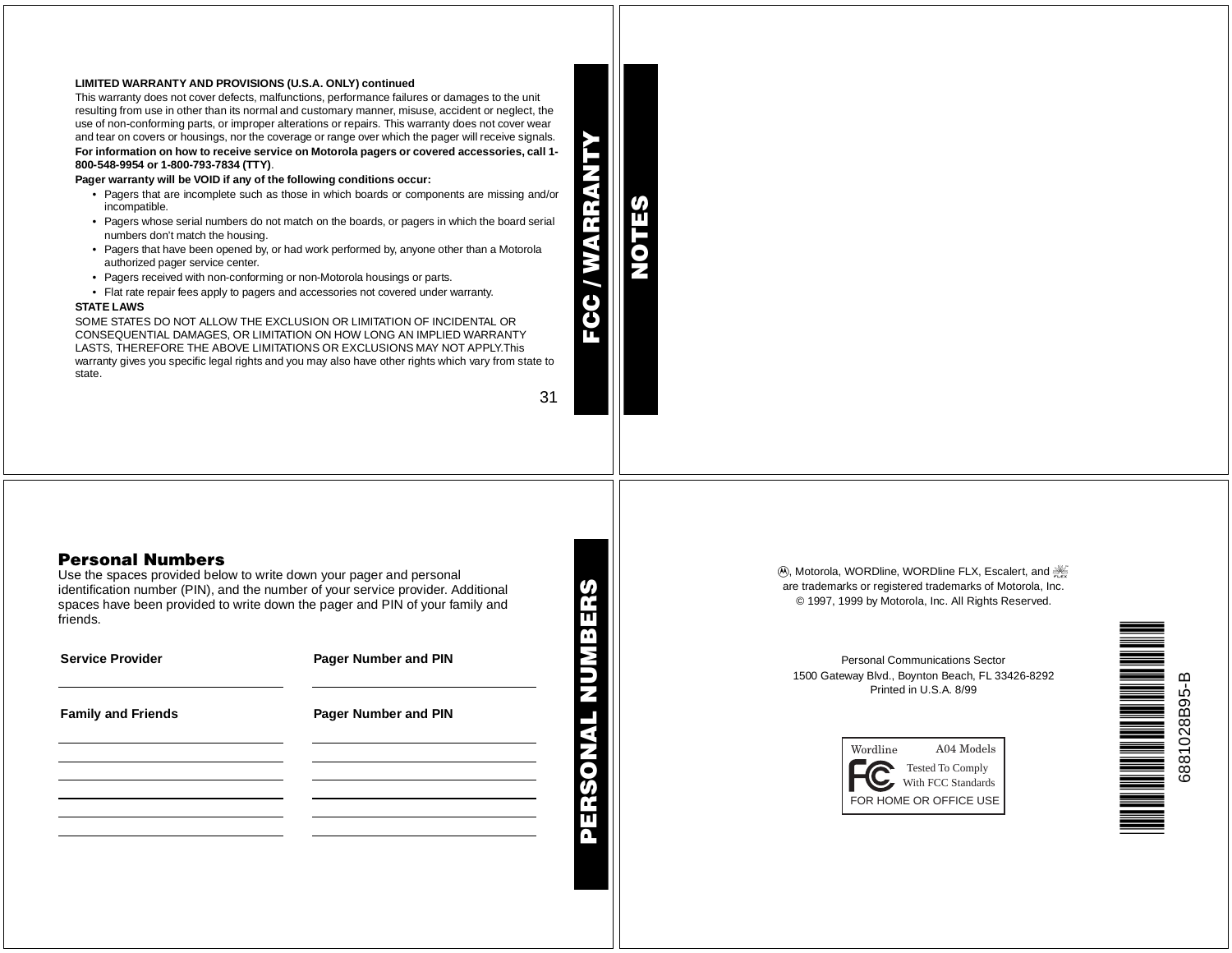### **LIMITED WARRANTY AND PROVISIONS (U.S.A. ONLY) continued**

This warranty does not cover defects, malfunctions, performance failures or damages to the unit resulting from use in other than its normal and customary manner, misuse, accident or neglect, the use of non-conforming parts, or improper alterations or repairs. This warranty does not cover wear and tear on covers or housings, nor the coverage or range over which the pager will receive signals. For information on how to receive service on Motorola pagers or covered accessories, call 1-**800-548-9954 or 1-800-793-7834 (TTY)**.

Pager warranty will be VOID if any of the following conditions occur:

- Pagers that are incomplete such as those in which boards or components are missing and/or incompatible.
- Pagers whose serial numbers do not match on the boards, or pagers in which the board serial numbers don't match the housing.
- Pagers that have been opened by, or had work performed by, anyone other than <sup>a</sup> Motorola authorized pager service center.
- Pagers received with non-conforming or non-Motorola housings or parts.
- Flat rate repair fees apply to pagers and accessories not covered under warranty.

### **STATE LAWS**

SOME STATES DO NOT ALLOW THE EXCLUSION OR LIMITATION OF INCIDENTAL OR CONSEQUENTIAL DAMAGES, OR LIMITATION ON HOW LONG AN IMPLIED WARRANTY LASTS, THEREFORE THE ABOVE LIMITATIONS OR EXCLUSIONS MAY NOT APPLY.This warranty gives you specific legal rights and you may also have other rights which vary from state to state.

31

**PERSONAL NUMBERS**

**FCC / WARRANTY**

**AFR** 

€

**NOTES**

# **Personal Numbers**

Use the spaces provided below to write down your pager and personal identification number (PIN), and the number of your service provider. Additional spaces have been provided to write down the pager and PIN of your family and friends.

| <b>Service Provider</b>   | Pager Number and PIN |
|---------------------------|----------------------|
| <b>Family and Friends</b> | Pager Number and PIN |
|                           |                      |
|                           |                      |
|                           |                      |
|                           |                      |
|                           |                      |

**(A), Motorola, WORDline, WORDline FLX, Escalert, and FL** are trademarks or registered trademarks of Motorola, Inc. © 1997, 1999 by Motorola, Inc. All Rights Reserved.

Personal Communications Sector1500 Gateway Blvd., Boynton Beach, FL 33426-8292 Printed in U.S.A. 8/99